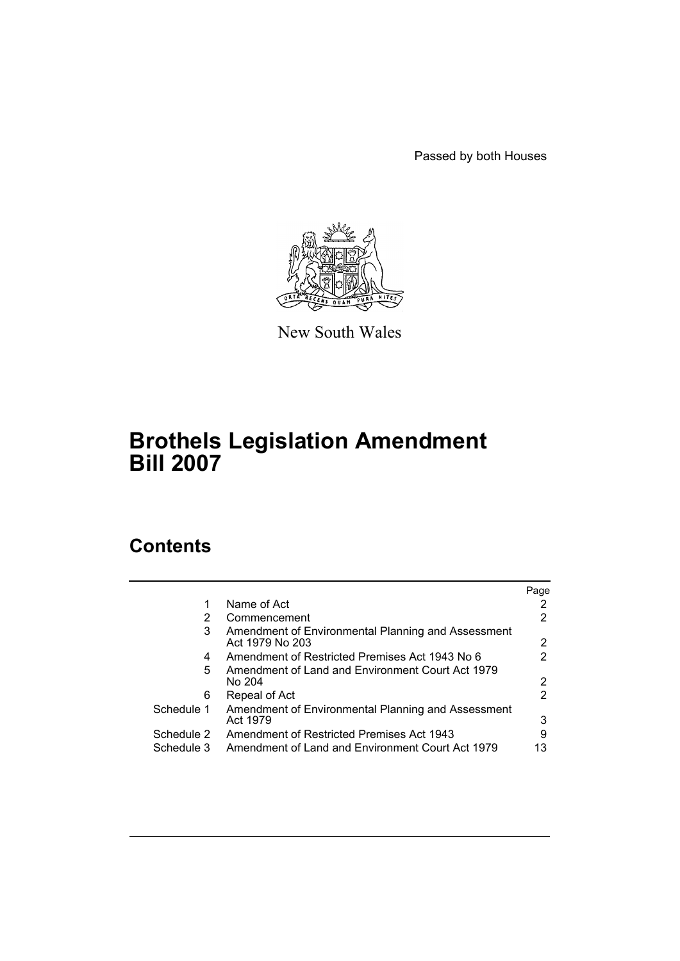Passed by both Houses



New South Wales

# **Brothels Legislation Amendment Bill 2007**

# **Contents**

|            |                                                                       | Page |
|------------|-----------------------------------------------------------------------|------|
|            | Name of Act                                                           |      |
| 2          | Commencement                                                          |      |
| 3          | Amendment of Environmental Planning and Assessment<br>Act 1979 No 203 | 2    |
| 4          | Amendment of Restricted Premises Act 1943 No 6                        |      |
| 5          | Amendment of Land and Environment Court Act 1979<br>No 204            | 2    |
| 6          | Repeal of Act                                                         | 2    |
| Schedule 1 | Amendment of Environmental Planning and Assessment<br>Act 1979        | 3    |
| Schedule 2 | Amendment of Restricted Premises Act 1943                             | 9    |
| Schedule 3 | Amendment of Land and Environment Court Act 1979                      | 13   |
|            |                                                                       |      |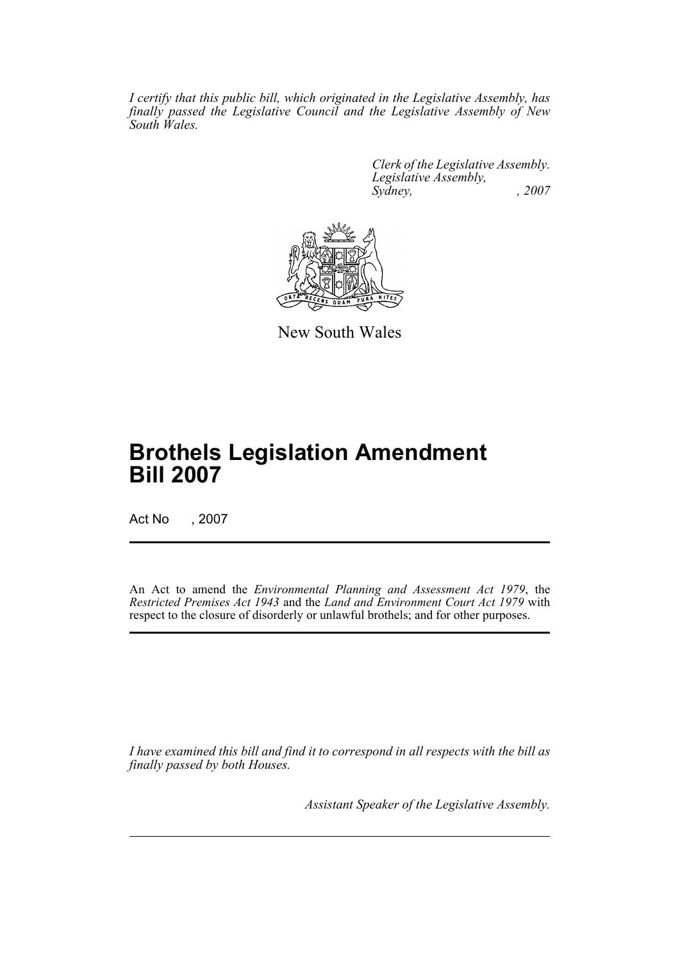*I certify that this public bill, which originated in the Legislative Assembly, has finally passed the Legislative Council and the Legislative Assembly of New South Wales.*

> *Clerk of the Legislative Assembly. Legislative Assembly, Sydney, , 2007*



New South Wales

# **Brothels Legislation Amendment Bill 2007**

Act No , 2007

An Act to amend the *Environmental Planning and Assessment Act 1979*, the *Restricted Premises Act 1943* and the *Land and Environment Court Act 1979* with respect to the closure of disorderly or unlawful brothels; and for other purposes.

*I have examined this bill and find it to correspond in all respects with the bill as finally passed by both Houses.*

*Assistant Speaker of the Legislative Assembly.*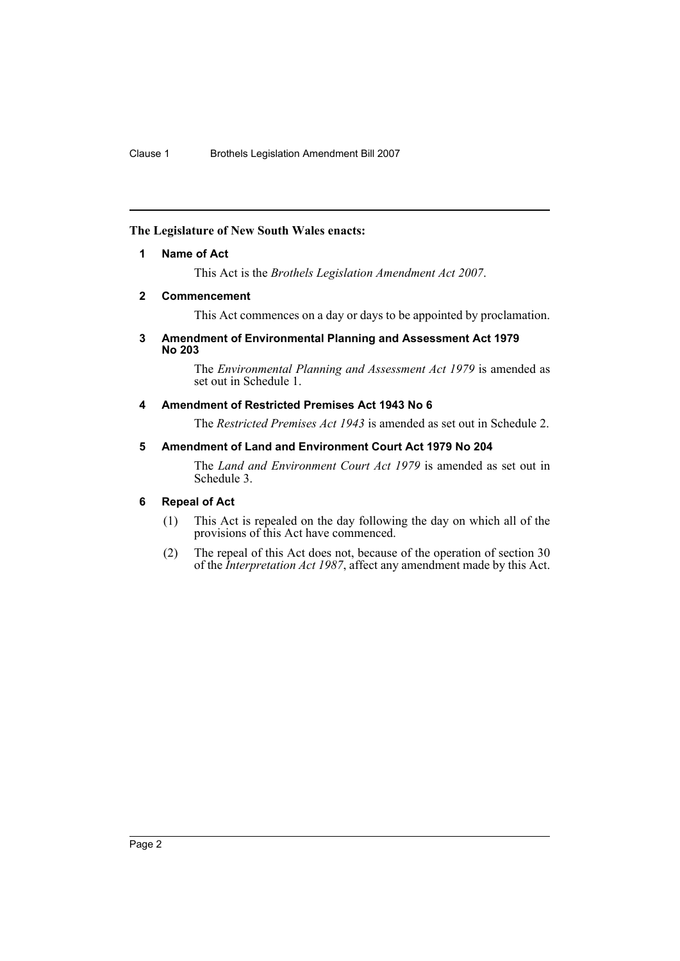## <span id="page-2-0"></span>**The Legislature of New South Wales enacts:**

## **1 Name of Act**

This Act is the *Brothels Legislation Amendment Act 2007*.

## <span id="page-2-1"></span>**2 Commencement**

This Act commences on a day or days to be appointed by proclamation.

## <span id="page-2-2"></span>**3 Amendment of Environmental Planning and Assessment Act 1979 No 203**

The *Environmental Planning and Assessment Act 1979* is amended as set out in Schedule 1.

## <span id="page-2-3"></span>**4 Amendment of Restricted Premises Act 1943 No 6**

The *Restricted Premises Act 1943* is amended as set out in Schedule 2.

## <span id="page-2-4"></span>**5 Amendment of Land and Environment Court Act 1979 No 204**

The *Land and Environment Court Act 1979* is amended as set out in Schedule 3.

## <span id="page-2-5"></span>**6 Repeal of Act**

- (1) This Act is repealed on the day following the day on which all of the provisions of this Act have commenced.
- (2) The repeal of this Act does not, because of the operation of section 30 of the *Interpretation Act 1987*, affect any amendment made by this Act.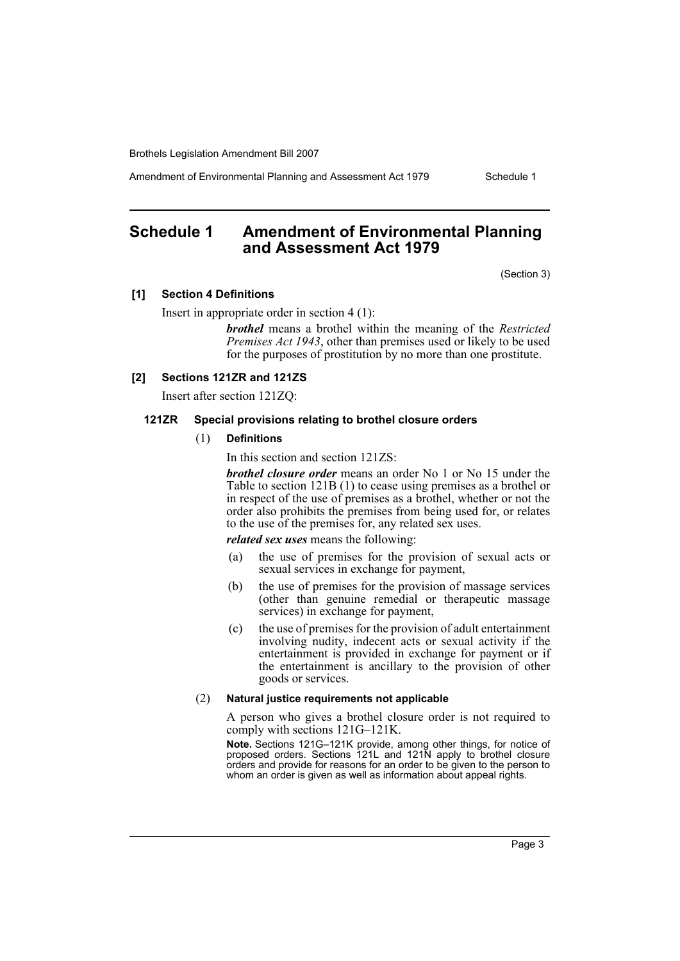Amendment of Environmental Planning and Assessment Act 1979 Schedule 1

## <span id="page-3-0"></span>**Schedule 1 Amendment of Environmental Planning and Assessment Act 1979**

(Section 3)

#### **[1] Section 4 Definitions**

Insert in appropriate order in section 4 (1):

*brothel* means a brothel within the meaning of the *Restricted Premises Act 1943*, other than premises used or likely to be used for the purposes of prostitution by no more than one prostitute.

#### **[2] Sections 121ZR and 121ZS**

Insert after section 121ZQ:

#### **121ZR Special provisions relating to brothel closure orders**

## (1) **Definitions**

In this section and section 121ZS:

*brothel closure order* means an order No 1 or No 15 under the Table to section 121B (1) to cease using premises as a brothel or in respect of the use of premises as a brothel, whether or not the order also prohibits the premises from being used for, or relates to the use of the premises for, any related sex uses.

*related sex uses* means the following:

- (a) the use of premises for the provision of sexual acts or sexual services in exchange for payment,
- (b) the use of premises for the provision of massage services (other than genuine remedial or therapeutic massage services) in exchange for payment,
- (c) the use of premises for the provision of adult entertainment involving nudity, indecent acts or sexual activity if the entertainment is provided in exchange for payment or if the entertainment is ancillary to the provision of other goods or services.

#### (2) **Natural justice requirements not applicable**

A person who gives a brothel closure order is not required to comply with sections 121G–121K.

**Note.** Sections 121G–121K provide, among other things, for notice of proposed orders. Sections 121L and 121N apply to brothel closure orders and provide for reasons for an order to be given to the person to whom an order is given as well as information about appeal rights.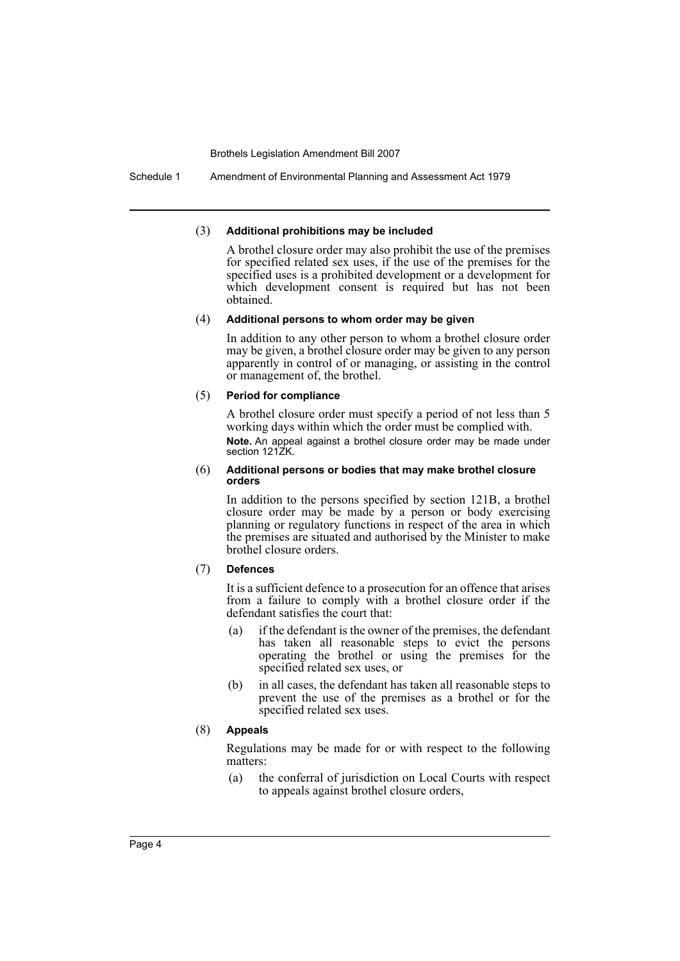Schedule 1 Amendment of Environmental Planning and Assessment Act 1979

#### (3) **Additional prohibitions may be included**

A brothel closure order may also prohibit the use of the premises for specified related sex uses, if the use of the premises for the specified uses is a prohibited development or a development for which development consent is required but has not been obtained.

#### (4) **Additional persons to whom order may be given**

In addition to any other person to whom a brothel closure order may be given, a brothel closure order may be given to any person apparently in control of or managing, or assisting in the control or management of, the brothel.

#### (5) **Period for compliance**

A brothel closure order must specify a period of not less than 5 working days within which the order must be complied with. **Note.** An appeal against a brothel closure order may be made under section 121ZK.

#### (6) **Additional persons or bodies that may make brothel closure orders**

In addition to the persons specified by section 121B, a brothel closure order may be made by a person or body exercising planning or regulatory functions in respect of the area in which the premises are situated and authorised by the Minister to make brothel closure orders.

#### (7) **Defences**

It is a sufficient defence to a prosecution for an offence that arises from a failure to comply with a brothel closure order if the defendant satisfies the court that:

- (a) if the defendant is the owner of the premises, the defendant has taken all reasonable steps to evict the persons operating the brothel or using the premises for the specified related sex uses, or
- (b) in all cases, the defendant has taken all reasonable steps to prevent the use of the premises as a brothel or for the specified related sex uses.

## (8) **Appeals**

Regulations may be made for or with respect to the following matters:

(a) the conferral of jurisdiction on Local Courts with respect to appeals against brothel closure orders,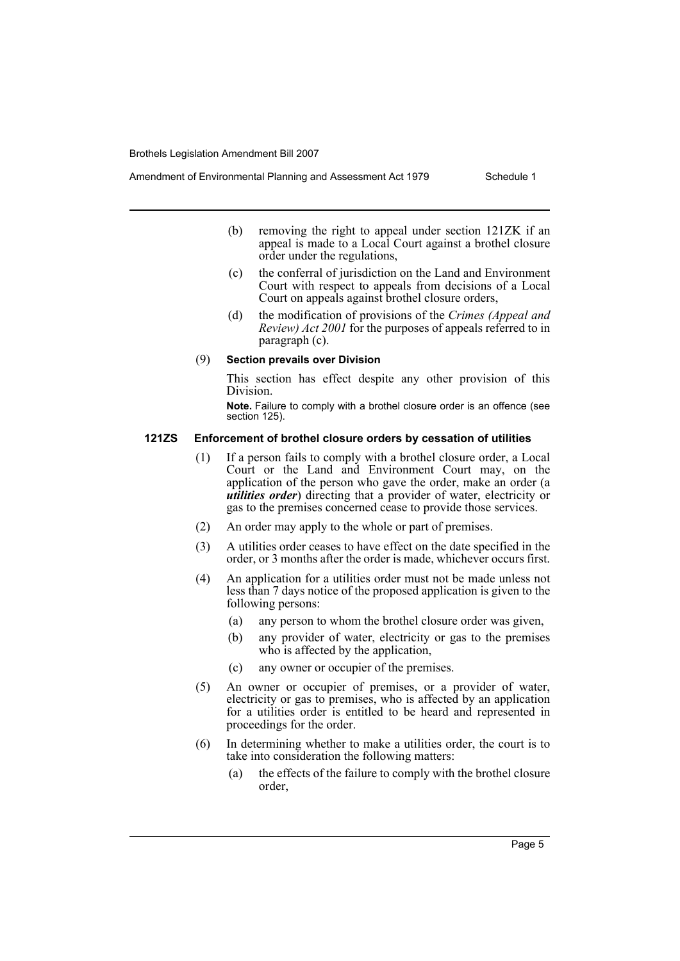- Amendment of Environmental Planning and Assessment Act 1979 Schedule 1
	- (b) removing the right to appeal under section 121ZK if an appeal is made to a Local Court against a brothel closure order under the regulations,
	- (c) the conferral of jurisdiction on the Land and Environment Court with respect to appeals from decisions of a Local Court on appeals against brothel closure orders,
	- (d) the modification of provisions of the *Crimes (Appeal and Review) Act 2001* for the purposes of appeals referred to in paragraph (c).

#### (9) **Section prevails over Division**

This section has effect despite any other provision of this Division.

**Note.** Failure to comply with a brothel closure order is an offence (see section 125).

## **121ZS Enforcement of brothel closure orders by cessation of utilities**

- (1) If a person fails to comply with a brothel closure order, a Local Court or the Land and Environment Court may, on the application of the person who gave the order, make an order (a *utilities order*) directing that a provider of water, electricity or gas to the premises concerned cease to provide those services.
- (2) An order may apply to the whole or part of premises.
- (3) A utilities order ceases to have effect on the date specified in the order, or 3 months after the order is made, whichever occurs first.
- (4) An application for a utilities order must not be made unless not less than 7 days notice of the proposed application is given to the following persons:
	- (a) any person to whom the brothel closure order was given,
	- (b) any provider of water, electricity or gas to the premises who is affected by the application,
	- (c) any owner or occupier of the premises.
- (5) An owner or occupier of premises, or a provider of water, electricity or gas to premises, who is affected by an application for a utilities order is entitled to be heard and represented in proceedings for the order.
- (6) In determining whether to make a utilities order, the court is to take into consideration the following matters:
	- (a) the effects of the failure to comply with the brothel closure order,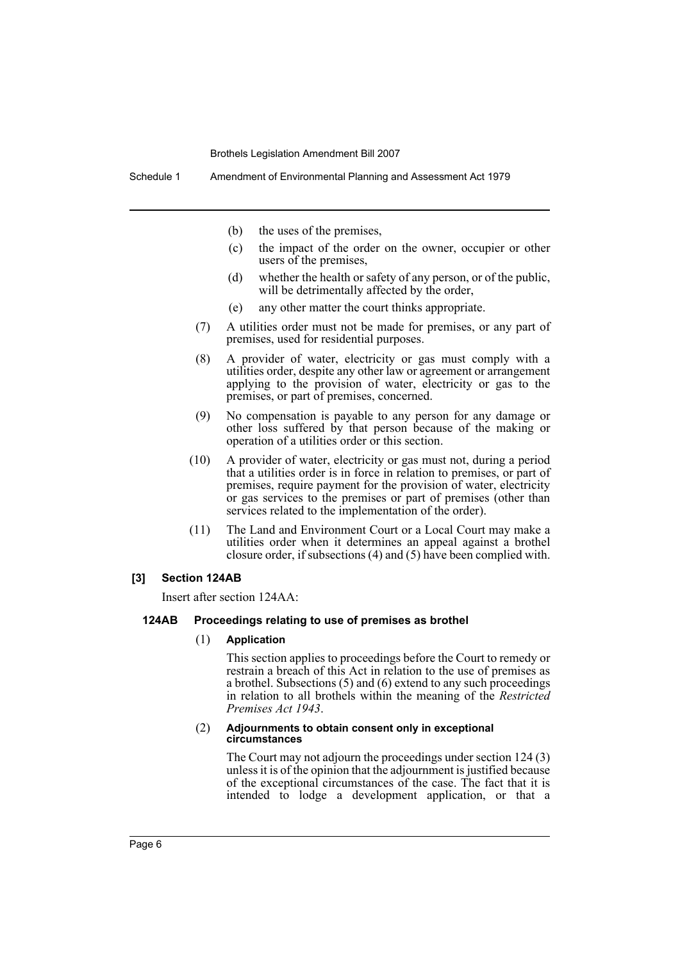- (b) the uses of the premises,
- (c) the impact of the order on the owner, occupier or other users of the premises,
- (d) whether the health or safety of any person, or of the public, will be detrimentally affected by the order,
- (e) any other matter the court thinks appropriate.
- (7) A utilities order must not be made for premises, or any part of premises, used for residential purposes.
- (8) A provider of water, electricity or gas must comply with a utilities order, despite any other law or agreement or arrangement applying to the provision of water, electricity or gas to the premises, or part of premises, concerned.
- (9) No compensation is payable to any person for any damage or other loss suffered by that person because of the making or operation of a utilities order or this section.
- (10) A provider of water, electricity or gas must not, during a period that a utilities order is in force in relation to premises, or part of premises, require payment for the provision of water, electricity or gas services to the premises or part of premises (other than services related to the implementation of the order).
- (11) The Land and Environment Court or a Local Court may make a utilities order when it determines an appeal against a brothel closure order, if subsections (4) and (5) have been complied with.

#### **[3] Section 124AB**

Insert after section 124AA:

#### **124AB Proceedings relating to use of premises as brothel**

#### (1) **Application**

This section applies to proceedings before the Court to remedy or restrain a breach of this Act in relation to the use of premises as a brothel. Subsections (5) and (6) extend to any such proceedings in relation to all brothels within the meaning of the *Restricted Premises Act 1943*.

#### (2) **Adjournments to obtain consent only in exceptional circumstances**

The Court may not adjourn the proceedings under section 124 (3) unless it is of the opinion that the adjournment is justified because of the exceptional circumstances of the case. The fact that it is intended to lodge a development application, or that a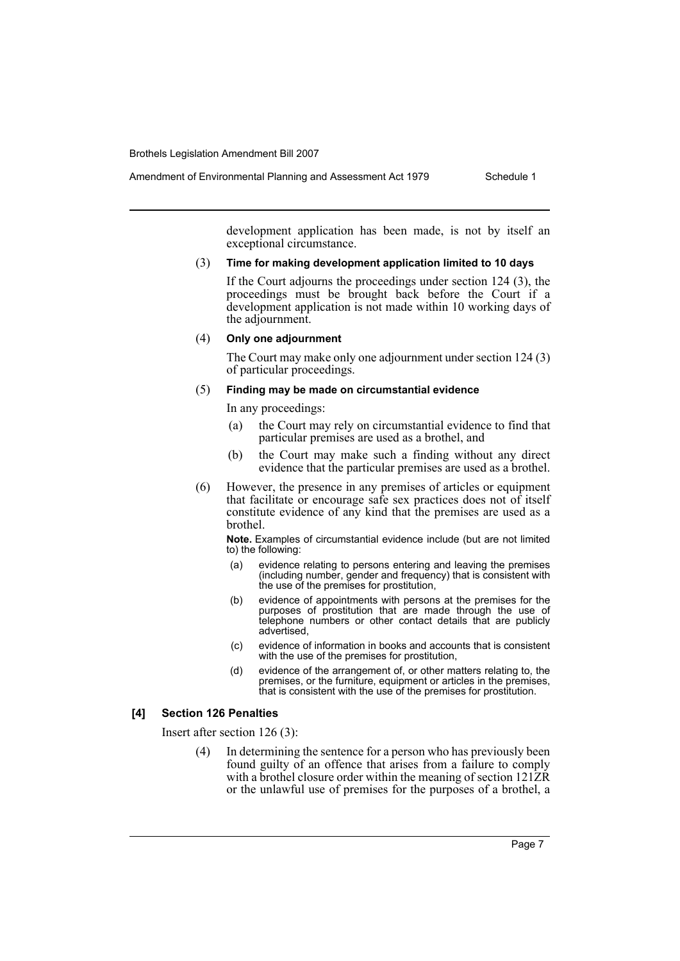Amendment of Environmental Planning and Assessment Act 1979 Schedule 1

development application has been made, is not by itself an exceptional circumstance.

#### (3) **Time for making development application limited to 10 days**

If the Court adjourns the proceedings under section 124 (3), the proceedings must be brought back before the Court if a development application is not made within 10 working days of the adjournment.

#### (4) **Only one adjournment**

The Court may make only one adjournment under section 124 (3) of particular proceedings.

#### (5) **Finding may be made on circumstantial evidence**

In any proceedings:

- (a) the Court may rely on circumstantial evidence to find that particular premises are used as a brothel, and
- (b) the Court may make such a finding without any direct evidence that the particular premises are used as a brothel.
- (6) However, the presence in any premises of articles or equipment that facilitate or encourage safe sex practices does not of itself constitute evidence of any kind that the premises are used as a brothel.

**Note.** Examples of circumstantial evidence include (but are not limited to) the following:

- (a) evidence relating to persons entering and leaving the premises (including number, gender and frequency) that is consistent with the use of the premises for prostitution,
- (b) evidence of appointments with persons at the premises for the purposes of prostitution that are made through the use of telephone numbers or other contact details that are publicly advertised,
- (c) evidence of information in books and accounts that is consistent with the use of the premises for prostitution,
- (d) evidence of the arrangement of, or other matters relating to, the premises, or the furniture, equipment or articles in the premises, that is consistent with the use of the premises for prostitution.

#### **[4] Section 126 Penalties**

Insert after section 126 (3):

In determining the sentence for a person who has previously been found guilty of an offence that arises from a failure to comply with a brothel closure order within the meaning of section 121ZR or the unlawful use of premises for the purposes of a brothel, a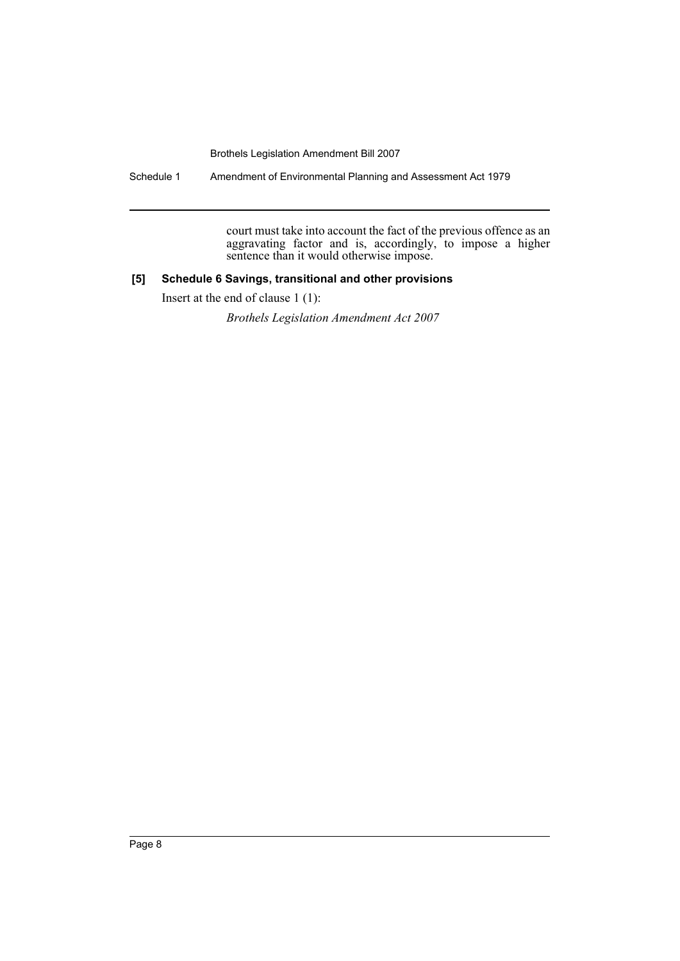Schedule 1 Amendment of Environmental Planning and Assessment Act 1979

court must take into account the fact of the previous offence as an aggravating factor and is, accordingly, to impose a higher sentence than it would otherwise impose.

## **[5] Schedule 6 Savings, transitional and other provisions**

Insert at the end of clause 1 (1):

*Brothels Legislation Amendment Act 2007*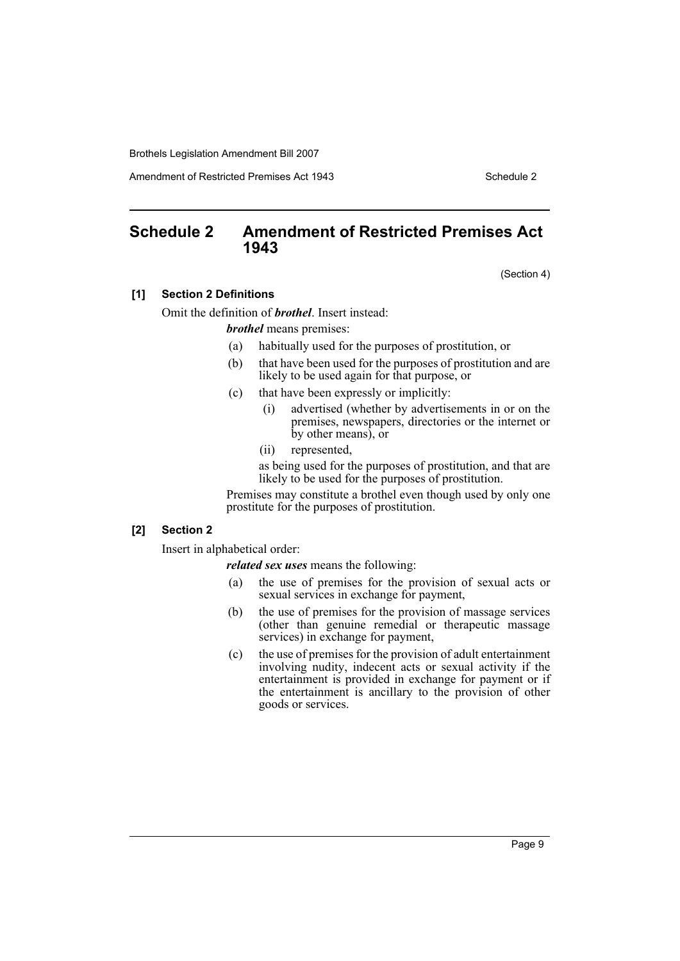Amendment of Restricted Premises Act 1943 Schedule 2

## <span id="page-9-0"></span>**Schedule 2 Amendment of Restricted Premises Act 1943**

(Section 4)

#### **[1] Section 2 Definitions**

Omit the definition of *brothel*. Insert instead:

*brothel* means premises:

- (a) habitually used for the purposes of prostitution, or
- (b) that have been used for the purposes of prostitution and are likely to be used again for that purpose, or
- (c) that have been expressly or implicitly:
	- (i) advertised (whether by advertisements in or on the premises, newspapers, directories or the internet or by other means), or
	- (ii) represented,

as being used for the purposes of prostitution, and that are likely to be used for the purposes of prostitution.

Premises may constitute a brothel even though used by only one prostitute for the purposes of prostitution.

## **[2] Section 2**

Insert in alphabetical order:

*related sex uses* means the following:

- (a) the use of premises for the provision of sexual acts or sexual services in exchange for payment,
- (b) the use of premises for the provision of massage services (other than genuine remedial or therapeutic massage services) in exchange for payment,
- (c) the use of premises for the provision of adult entertainment involving nudity, indecent acts or sexual activity if the entertainment is provided in exchange for payment or if the entertainment is ancillary to the provision of other goods or services.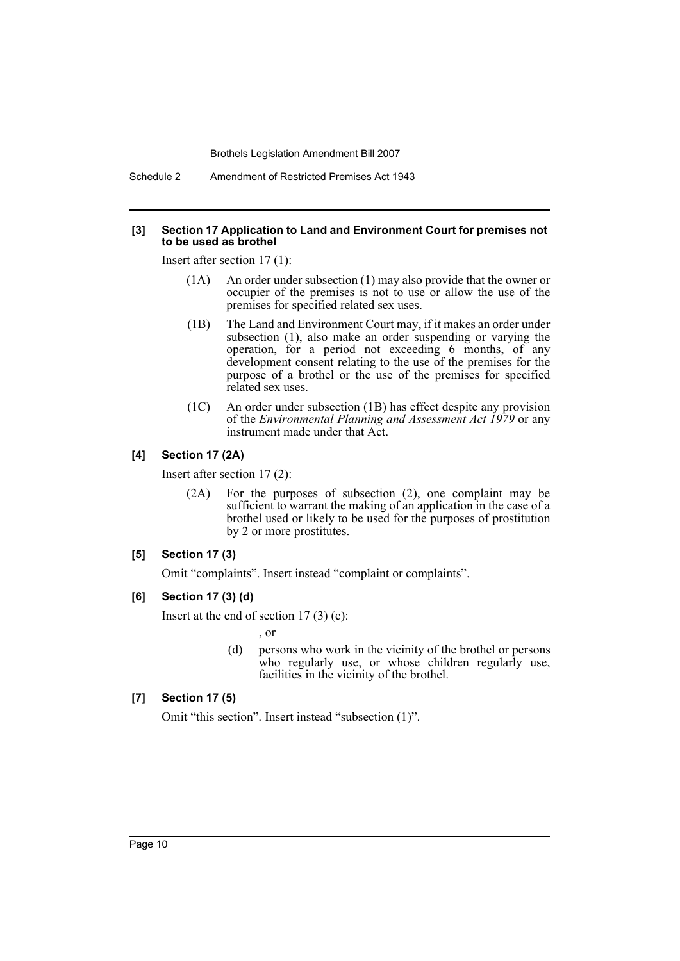Schedule 2 Amendment of Restricted Premises Act 1943

#### **[3] Section 17 Application to Land and Environment Court for premises not to be used as brothel**

Insert after section 17 (1):

- (1A) An order under subsection (1) may also provide that the owner or occupier of the premises is not to use or allow the use of the premises for specified related sex uses.
- (1B) The Land and Environment Court may, if it makes an order under subsection (1), also make an order suspending or varying the operation, for a period not exceeding 6 months, of any development consent relating to the use of the premises for the purpose of a brothel or the use of the premises for specified related sex uses.
- (1C) An order under subsection (1B) has effect despite any provision of the *Environmental Planning and Assessment Act 1979* or any instrument made under that Act.

## **[4] Section 17 (2A)**

Insert after section 17 (2):

(2A) For the purposes of subsection (2), one complaint may be sufficient to warrant the making of an application in the case of a brothel used or likely to be used for the purposes of prostitution by 2 or more prostitutes.

#### **[5] Section 17 (3)**

Omit "complaints". Insert instead "complaint or complaints".

#### **[6] Section 17 (3) (d)**

Insert at the end of section  $17(3)(c)$ :

, or

(d) persons who work in the vicinity of the brothel or persons who regularly use, or whose children regularly use, facilities in the vicinity of the brothel.

## **[7] Section 17 (5)**

Omit "this section". Insert instead "subsection (1)".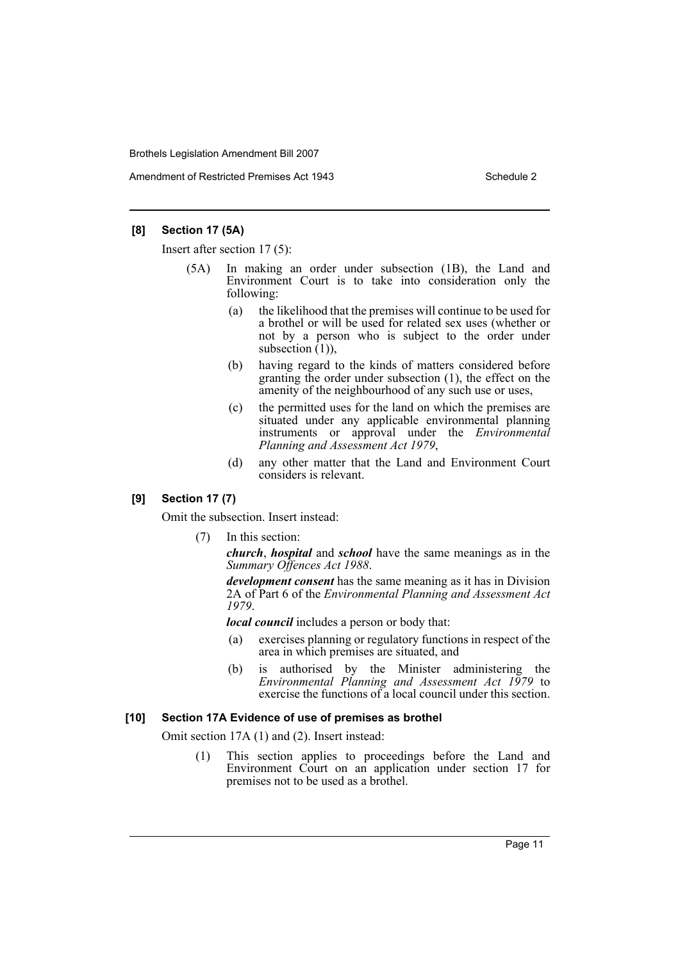Amendment of Restricted Premises Act 1943 Schedule 2

## **[8] Section 17 (5A)**

Insert after section 17 (5):

- (5A) In making an order under subsection (1B), the Land and Environment Court is to take into consideration only the following:
	- (a) the likelihood that the premises will continue to be used for a brothel or will be used for related sex uses (whether or not by a person who is subject to the order under subsection  $(1)$ ),
	- (b) having regard to the kinds of matters considered before granting the order under subsection (1), the effect on the amenity of the neighbourhood of any such use or uses,
	- (c) the permitted uses for the land on which the premises are situated under any applicable environmental planning instruments or approval under the *Environmental Planning and Assessment Act 1979*,
	- (d) any other matter that the Land and Environment Court considers is relevant.

## **[9] Section 17 (7)**

Omit the subsection. Insert instead:

(7) In this section:

*church*, *hospital* and *school* have the same meanings as in the *Summary Offences Act 1988*.

*development consent* has the same meaning as it has in Division 2A of Part 6 of the *Environmental Planning and Assessment Act 1979*.

*local council* includes a person or body that:

- (a) exercises planning or regulatory functions in respect of the area in which premises are situated, and
- (b) is authorised by the Minister administering the *Environmental Planning and Assessment Act 1979* to exercise the functions of a local council under this section.

### **[10] Section 17A Evidence of use of premises as brothel**

Omit section 17A (1) and (2). Insert instead:

(1) This section applies to proceedings before the Land and Environment Court on an application under section 17 for premises not to be used as a brothel.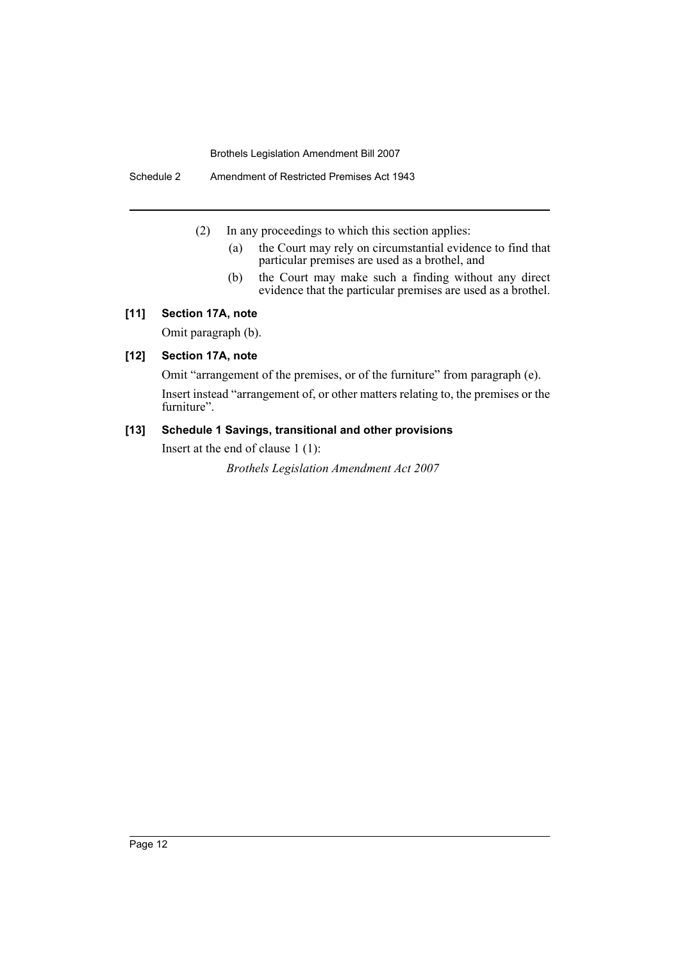Schedule 2 Amendment of Restricted Premises Act 1943

- (2) In any proceedings to which this section applies:
	- (a) the Court may rely on circumstantial evidence to find that particular premises are used as a brothel, and
	- (b) the Court may make such a finding without any direct evidence that the particular premises are used as a brothel.

## **[11] Section 17A, note**

Omit paragraph (b).

## **[12] Section 17A, note**

Omit "arrangement of the premises, or of the furniture" from paragraph (e). Insert instead "arrangement of, or other matters relating to, the premises or the furniture".

## **[13] Schedule 1 Savings, transitional and other provisions**

Insert at the end of clause 1 (1):

*Brothels Legislation Amendment Act 2007*